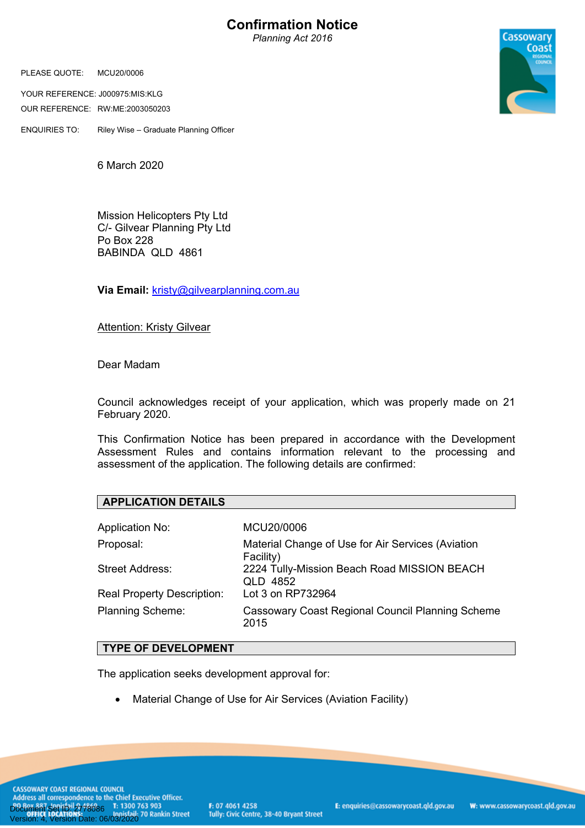# **Confirmation Notice**

*Planning Act 2016*

PLEASE QUOTE: MCU20/0006

YOUR REFERENCE: J000975:MIS:KLG OUR REFERENCE: RW:ME:2003050203

ENQUIRIES TO: Riley Wise – Graduate Planning Officer



6 March 2020

Mission Helicopters Pty Ltd C/- Gilvear Planning Pty Ltd Po Box 228 BABINDA QLD 4861

**Via Email:** [kristy@gilvearplanning.com.au](mailto:kristy@gilvearplanning.com.au)

Attention: Kristy Gilvear

Dear Madam

Council acknowledges receipt of your application, which was properly made on 21 February 2020.

This Confirmation Notice has been prepared in accordance with the Development Assessment Rules and contains information relevant to the processing and assessment of the application. The following details are confirmed:

| <b>APPLICATION DETAILS</b>        |                                                                |
|-----------------------------------|----------------------------------------------------------------|
| <b>Application No:</b>            | MCU20/0006                                                     |
| Proposal:                         | Material Change of Use for Air Services (Aviation<br>Facility) |
| Street Address:                   | 2224 Tully-Mission Beach Road MISSION BEACH<br>QLD 4852        |
| <b>Real Property Description:</b> | Lot 3 on RP732964                                              |
| <b>Planning Scheme:</b>           | Cassowary Coast Regional Council Planning Scheme<br>2015       |

## **TYPE OF DEVELOPMENT**

The application seeks development approval for:

Material Change of Use for Air Services (Aviation Facility)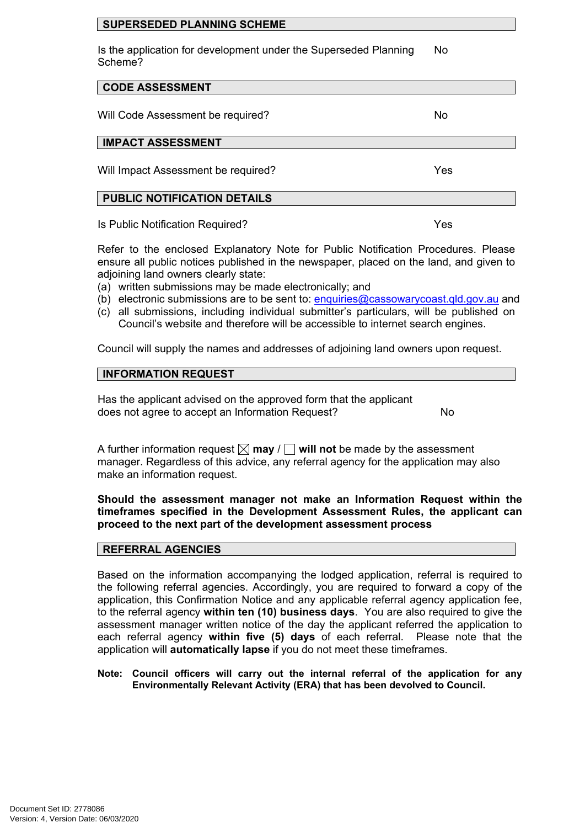## **SUPERSEDED PLANNING SCHEME**

Is the application for development under the Superseded Planning Scheme? No

## **CODE ASSESSMENT**

Will Code Assessment be required? No

## **IMPACT ASSESSMENT**

Will Impact Assessment be required? Ves

## **PUBLIC NOTIFICATION DETAILS**

Is Public Notification Required? Yes

Refer to the enclosed Explanatory Note for Public Notification Procedures. Please ensure all public notices published in the newspaper, placed on the land, and given to adjoining land owners clearly state:

- (a) written submissions may be made electronically; and
- (b) electronic submissions are to be sent to: [enquiries@cassowarycoast.qld.gov.au](mailto:enquiries@cassowarycoast.qld.gov.au) and
- (c) all submissions, including individual submitter's particulars, will be published on Council's website and therefore will be accessible to internet search engines.

Council will supply the names and addresses of adjoining land owners upon request.

## **INFORMATION REQUEST**

Has the applicant advised on the approved form that the applicant does not agree to accept an Information Request?

A further information request  $\boxtimes$  may  $\text{/}$  will not be made by the assessment manager. Regardless of this advice, any referral agency for the application may also make an information request.

## **Should the assessment manager not make an Information Request within the timeframes specified in the Development Assessment Rules, the applicant can proceed to the next part of the development assessment process**

## **REFERRAL AGENCIES**

Based on the information accompanying the lodged application, referral is required to the following referral agencies. Accordingly, you are required to forward a copy of the application, this Confirmation Notice and any applicable referral agency application fee, to the referral agency **within ten (10) business days**. You are also required to give the assessment manager written notice of the day the applicant referred the application to each referral agency **within five (5) days** of each referral. Please note that the application will **automatically lapse** if you do not meet these timeframes.

**Note: Council officers will carry out the internal referral of the application for any Environmentally Relevant Activity (ERA) that has been devolved to Council.**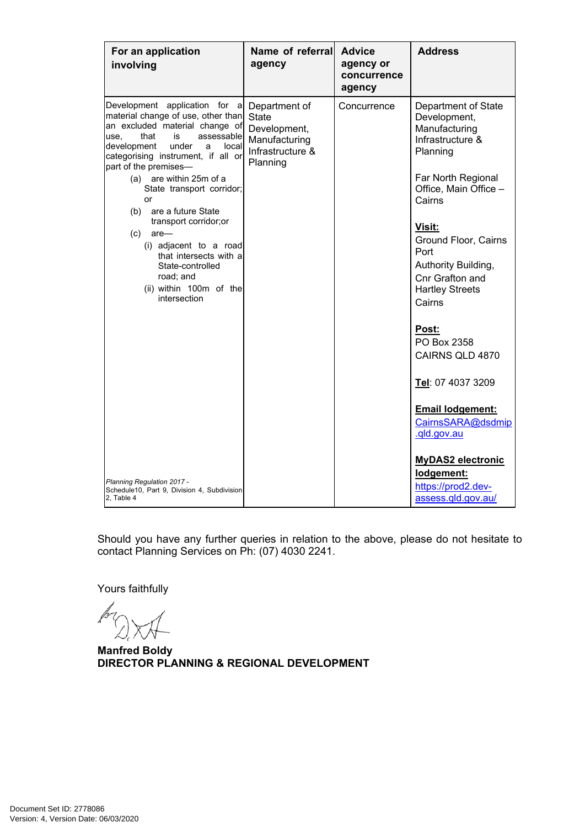| For an application<br>involving                                                                                                                                                                                                                                                                                                                                                                                                                                                                                        | Name of referral<br>agency                                                                     | <b>Advice</b><br>agency or<br>concurrence<br>agency | <b>Address</b>                                                                                                                                                                                                                                                               |
|------------------------------------------------------------------------------------------------------------------------------------------------------------------------------------------------------------------------------------------------------------------------------------------------------------------------------------------------------------------------------------------------------------------------------------------------------------------------------------------------------------------------|------------------------------------------------------------------------------------------------|-----------------------------------------------------|------------------------------------------------------------------------------------------------------------------------------------------------------------------------------------------------------------------------------------------------------------------------------|
| Development application for a<br>material change of use, other than<br>an excluded material change of<br>assessable<br>that<br>is<br>use.<br>under<br>local<br>development<br>a<br>categorising instrument, if all or<br>part of the premises-<br>are within 25m of a<br>(a)<br>State transport corridor;<br>or<br>are a future State<br>(b)<br>transport corridor;or<br>(c)<br>$are-$<br>(i) adjacent to a road<br>that intersects with a<br>State-controlled<br>road; and<br>(ii) within 100m of the<br>intersection | Department of<br><b>State</b><br>Development,<br>Manufacturing<br>Infrastructure &<br>Planning | Concurrence                                         | Department of State<br>Development,<br>Manufacturing<br>Infrastructure &<br>Planning<br>Far North Regional<br>Office, Main Office -<br>Cairns<br><u>Visit:</u><br>Ground Floor, Cairns<br>Port<br>Authority Building,<br>Cnr Grafton and<br><b>Hartley Streets</b><br>Cairns |
| <b>Planning Regulation 2017 -</b><br>Schedule10, Part 9, Division 4, Subdivision<br>2. Table 4                                                                                                                                                                                                                                                                                                                                                                                                                         |                                                                                                |                                                     | Post:<br>PO Box 2358<br>CAIRNS QLD 4870<br>Tel: 07 4037 3209<br><b>Email lodgement:</b><br>CairnsSARA@dsdmip<br>.gld.gov.au<br><b>MyDAS2 electronic</b><br>lodgement:<br>https://prod2.dev-<br>assess.gld.gov.au/                                                            |

Should you have any further queries in relation to the above, please do not hesitate to contact Planning Services on Ph: (07) 4030 2241.

Yours faithfully

ls

**Manfred Boldy DIRECTOR PLANNING & REGIONAL DEVELOPMENT**